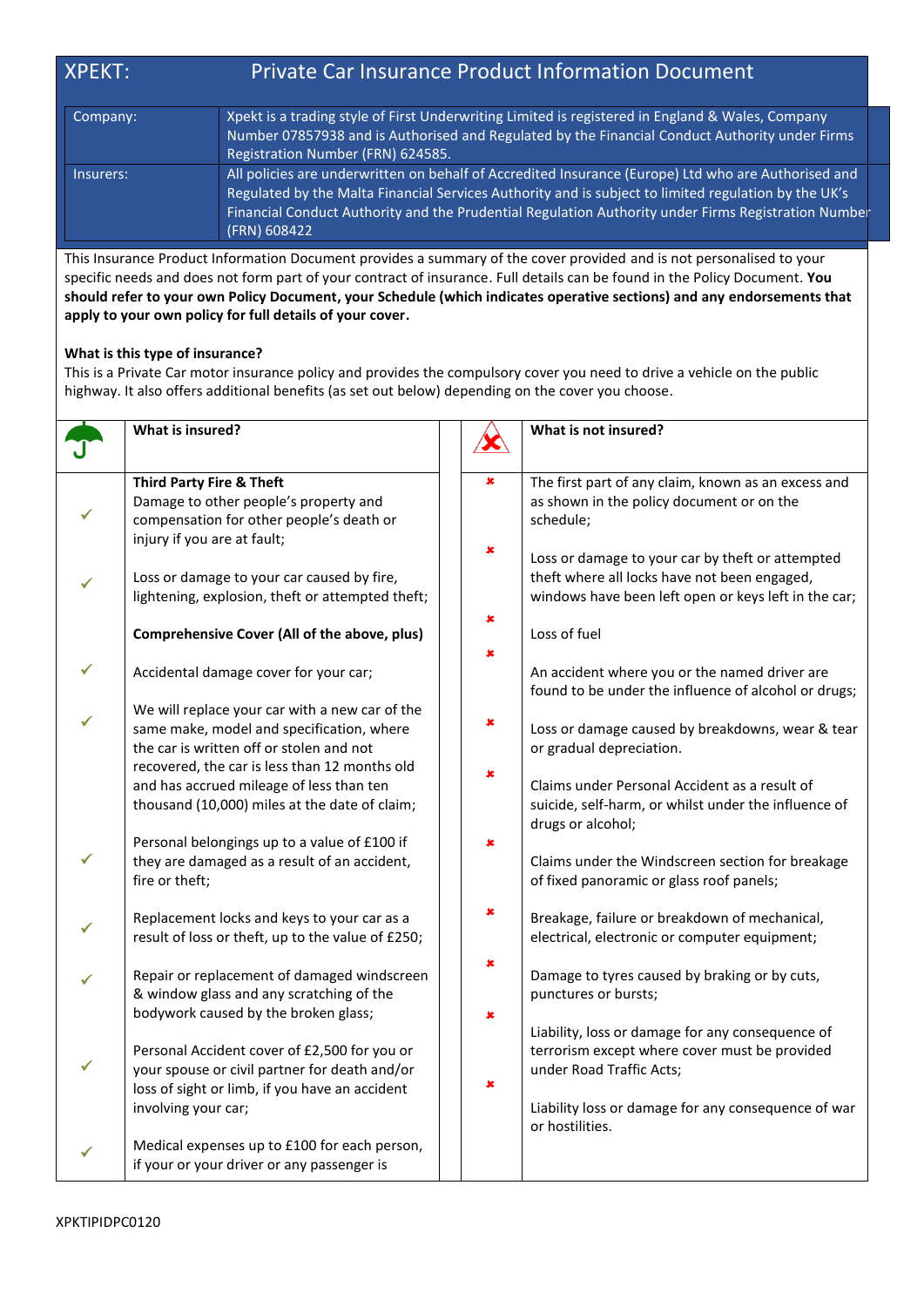## XPEKT: Private Car Insurance Product Information Document

| Company:  | Xpekt is a trading style of First Underwriting Limited is registered in England & Wales, Company<br>Number 07857938 and is Authorised and Regulated by the Financial Conduct Authority under Firms<br>Registration Number (FRN) 624585.                                                                                            |
|-----------|------------------------------------------------------------------------------------------------------------------------------------------------------------------------------------------------------------------------------------------------------------------------------------------------------------------------------------|
| Insurers: | All policies are underwritten on behalf of Accredited Insurance (Europe) Ltd who are Authorised and<br>Regulated by the Malta Financial Services Authority and is subject to limited regulation by the UK's<br>Financial Conduct Authority and the Prudential Regulation Authority under Firms Registration Number<br>(FRN) 608422 |

This Insurance Product Information Document provides a summary of the cover provided and is not personalised to your specific needs and does not form part of your contract of insurance. Full details can be found in the Policy Document. **You should refer to your own Policy Document, your Schedule (which indicates operative sections) and any endorsements that apply to your own policy for full details of your cover.**

## **What is this type of insurance?**

This is a Private Car motor insurance policy and provides the compulsory cover you need to drive a vehicle on the public highway. It also offers additional benefits (as set out below) depending on the cover you choose.

|   | What is insured?                                                                                                                                                                         |                     | What is not insured?                                                                                                                                     |
|---|------------------------------------------------------------------------------------------------------------------------------------------------------------------------------------------|---------------------|----------------------------------------------------------------------------------------------------------------------------------------------------------|
|   | <b>Third Party Fire &amp; Theft</b><br>Damage to other people's property and<br>compensation for other people's death or<br>injury if you are at fault;                                  | $\pmb{\times}$<br>× | The first part of any claim, known as an excess and<br>as shown in the policy document or on the<br>schedule;                                            |
| ✓ | Loss or damage to your car caused by fire,<br>lightening, explosion, theft or attempted theft;                                                                                           | ×                   | Loss or damage to your car by theft or attempted<br>theft where all locks have not been engaged,<br>windows have been left open or keys left in the car; |
|   | <b>Comprehensive Cover (All of the above, plus)</b>                                                                                                                                      | ×                   | Loss of fuel                                                                                                                                             |
| ✓ | Accidental damage cover for your car;                                                                                                                                                    |                     | An accident where you or the named driver are<br>found to be under the influence of alcohol or drugs;                                                    |
|   | We will replace your car with a new car of the<br>same make, model and specification, where<br>the car is written off or stolen and not<br>recovered, the car is less than 12 months old | ×                   | Loss or damage caused by breakdowns, wear & tear<br>or gradual depreciation.                                                                             |
|   | and has accrued mileage of less than ten<br>thousand (10,000) miles at the date of claim;                                                                                                | ×                   | Claims under Personal Accident as a result of<br>suicide, self-harm, or whilst under the influence of<br>drugs or alcohol;                               |
|   | Personal belongings up to a value of £100 if<br>they are damaged as a result of an accident,<br>fire or theft;                                                                           | ×                   | Claims under the Windscreen section for breakage<br>of fixed panoramic or glass roof panels;                                                             |
|   | Replacement locks and keys to your car as a<br>result of loss or theft, up to the value of £250;                                                                                         | ×                   | Breakage, failure or breakdown of mechanical,<br>electrical, electronic or computer equipment;                                                           |
|   | Repair or replacement of damaged windscreen<br>& window glass and any scratching of the                                                                                                  | ×                   | Damage to tyres caused by braking or by cuts,<br>punctures or bursts;                                                                                    |
| ✓ | bodywork caused by the broken glass;<br>Personal Accident cover of £2,500 for you or<br>your spouse or civil partner for death and/or                                                    | ×<br>×              | Liability, loss or damage for any consequence of<br>terrorism except where cover must be provided<br>under Road Traffic Acts;                            |
|   | loss of sight or limb, if you have an accident<br>involving your car;                                                                                                                    |                     | Liability loss or damage for any consequence of war<br>or hostilities.                                                                                   |
|   | Medical expenses up to £100 for each person,<br>if your or your driver or any passenger is                                                                                               |                     |                                                                                                                                                          |